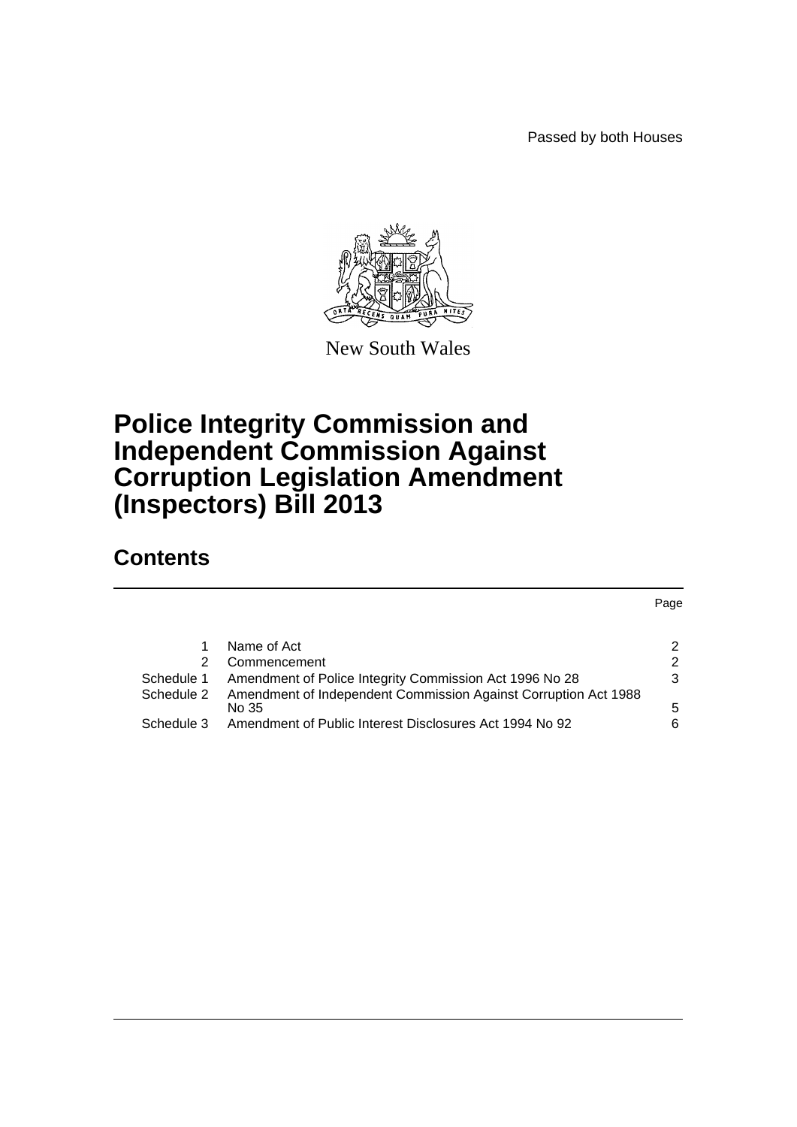Passed by both Houses



New South Wales

# **Police Integrity Commission and Independent Commission Against Corruption Legislation Amendment (Inspectors) Bill 2013**

# **Contents**

|            |                                                                          | Page |
|------------|--------------------------------------------------------------------------|------|
|            | Name of Act                                                              | 2    |
| 2          | Commencement                                                             | 2    |
| Schedule 1 | Amendment of Police Integrity Commission Act 1996 No 28                  |      |
| Schedule 2 | Amendment of Independent Commission Against Corruption Act 1988<br>No 35 | 5    |
| Schedule 3 | Amendment of Public Interest Disclosures Act 1994 No 92                  | 6    |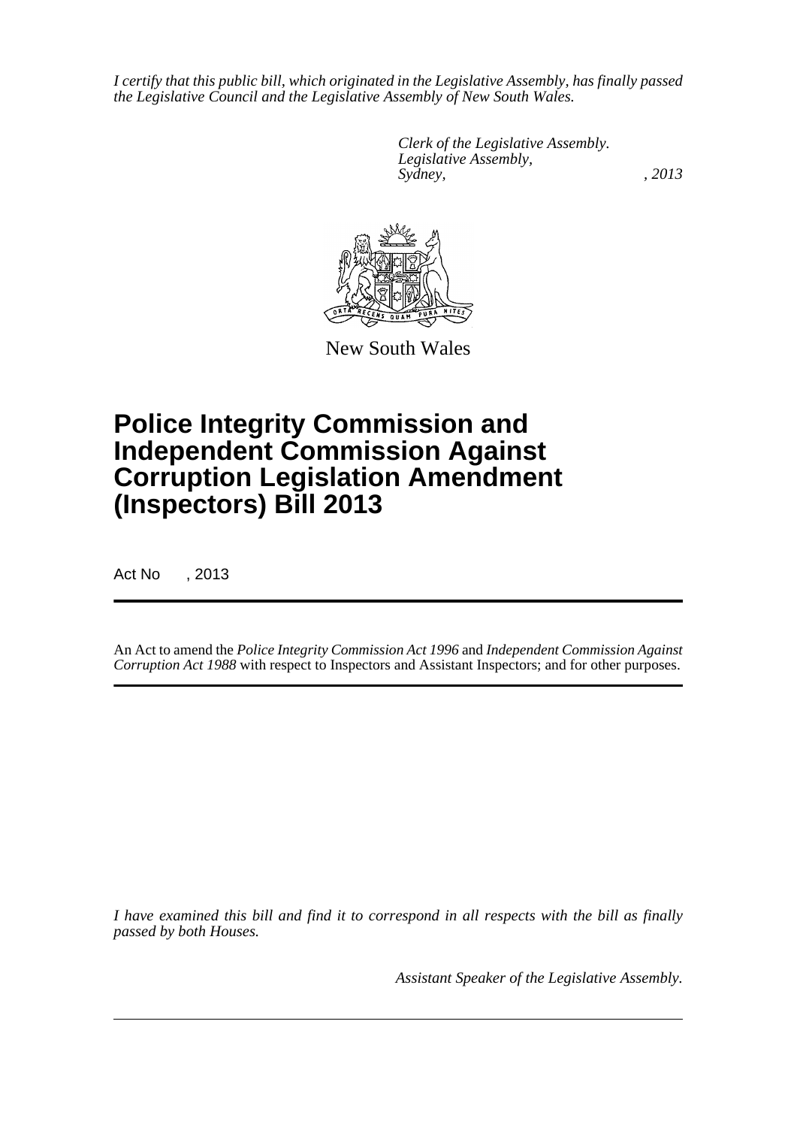*I certify that this public bill, which originated in the Legislative Assembly, has finally passed the Legislative Council and the Legislative Assembly of New South Wales.*

> *Clerk of the Legislative Assembly. Legislative Assembly, Sydney, , 2013*



New South Wales

# **Police Integrity Commission and Independent Commission Against Corruption Legislation Amendment (Inspectors) Bill 2013**

Act No , 2013

An Act to amend the *Police Integrity Commission Act 1996* and *Independent Commission Against Corruption Act 1988* with respect to Inspectors and Assistant Inspectors; and for other purposes.

*I have examined this bill and find it to correspond in all respects with the bill as finally passed by both Houses.*

*Assistant Speaker of the Legislative Assembly.*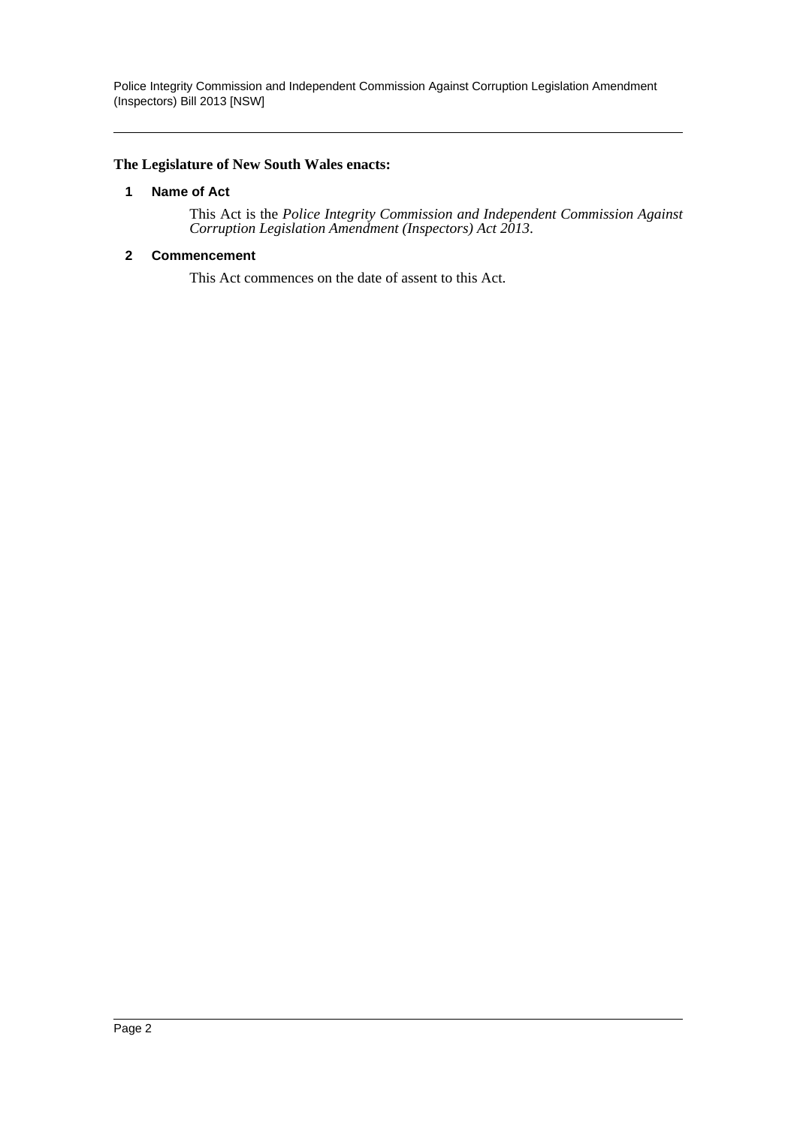Police Integrity Commission and Independent Commission Against Corruption Legislation Amendment (Inspectors) Bill 2013 [NSW]

#### <span id="page-2-0"></span>**The Legislature of New South Wales enacts:**

#### **1 Name of Act**

This Act is the *Police Integrity Commission and Independent Commission Against Corruption Legislation Amendment (Inspectors) Act 2013*.

#### <span id="page-2-1"></span>**2 Commencement**

This Act commences on the date of assent to this Act.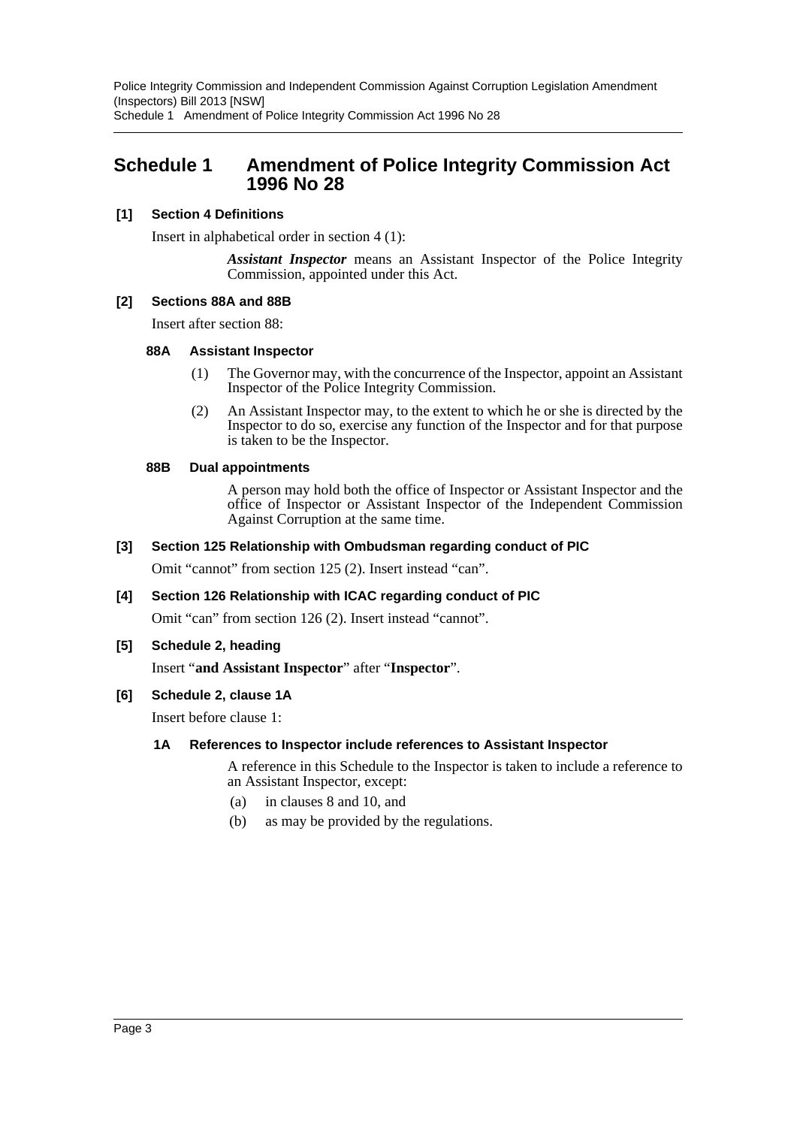Police Integrity Commission and Independent Commission Against Corruption Legislation Amendment (Inspectors) Bill 2013 [NSW] Schedule 1 Amendment of Police Integrity Commission Act 1996 No 28

### <span id="page-3-0"></span>**Schedule 1 Amendment of Police Integrity Commission Act 1996 No 28**

#### **[1] Section 4 Definitions**

Insert in alphabetical order in section 4 (1):

*Assistant Inspector* means an Assistant Inspector of the Police Integrity Commission, appointed under this Act.

#### **[2] Sections 88A and 88B**

Insert after section 88:

#### **88A Assistant Inspector**

- (1) The Governor may, with the concurrence of the Inspector, appoint an Assistant Inspector of the Police Integrity Commission.
- (2) An Assistant Inspector may, to the extent to which he or she is directed by the Inspector to do so, exercise any function of the Inspector and for that purpose is taken to be the Inspector.

#### **88B Dual appointments**

A person may hold both the office of Inspector or Assistant Inspector and the office of Inspector or Assistant Inspector of the Independent Commission Against Corruption at the same time.

#### **[3] Section 125 Relationship with Ombudsman regarding conduct of PIC**

Omit "cannot" from section 125 (2). Insert instead "can".

#### **[4] Section 126 Relationship with ICAC regarding conduct of PIC**

Omit "can" from section 126 (2). Insert instead "cannot".

#### **[5] Schedule 2, heading**

Insert "**and Assistant Inspector**" after "**Inspector**".

#### **[6] Schedule 2, clause 1A**

Insert before clause 1:

#### **1A References to Inspector include references to Assistant Inspector**

A reference in this Schedule to the Inspector is taken to include a reference to an Assistant Inspector, except:

- (a) in clauses 8 and 10, and
- (b) as may be provided by the regulations.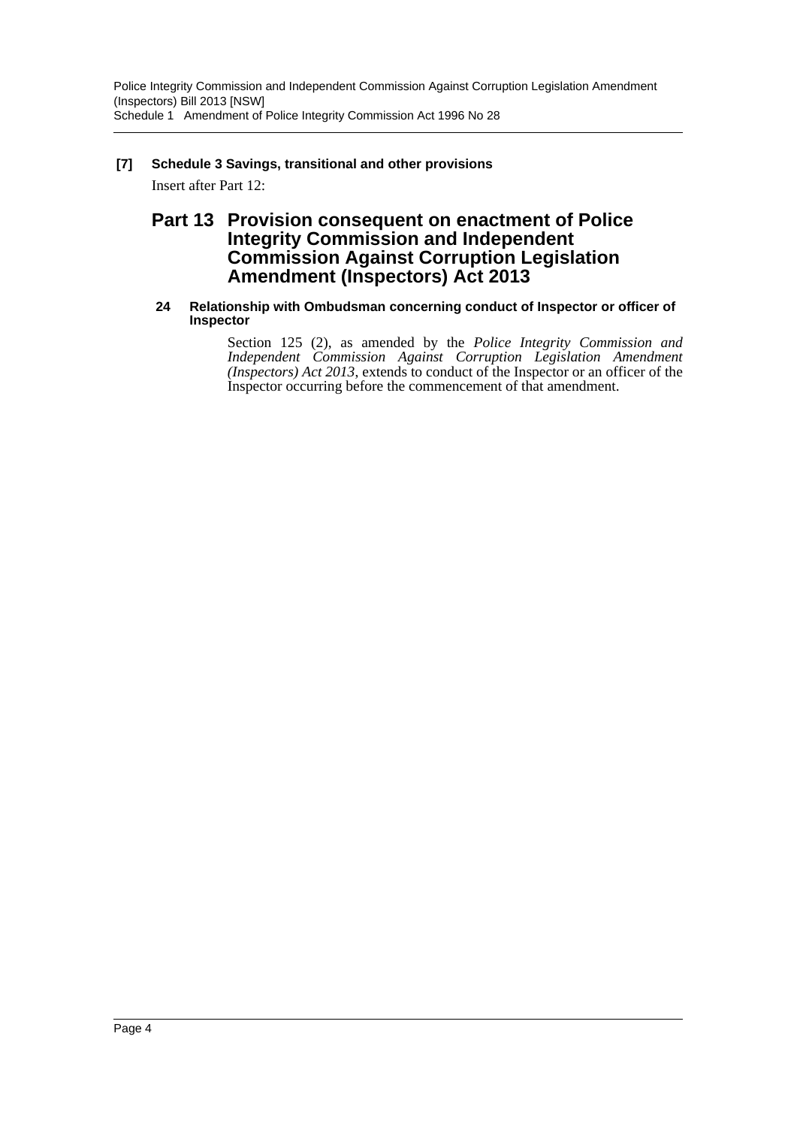# **[7] Schedule 3 Savings, transitional and other provisions**

Insert after Part 12:

## **Part 13 Provision consequent on enactment of Police Integrity Commission and Independent Commission Against Corruption Legislation Amendment (Inspectors) Act 2013**

#### **24 Relationship with Ombudsman concerning conduct of Inspector or officer of Inspector**

Section 125 (2), as amended by the *Police Integrity Commission and Independent Commission Against Corruption Legislation Amendment (Inspectors) Act 2013*, extends to conduct of the Inspector or an officer of the Inspector occurring before the commencement of that amendment.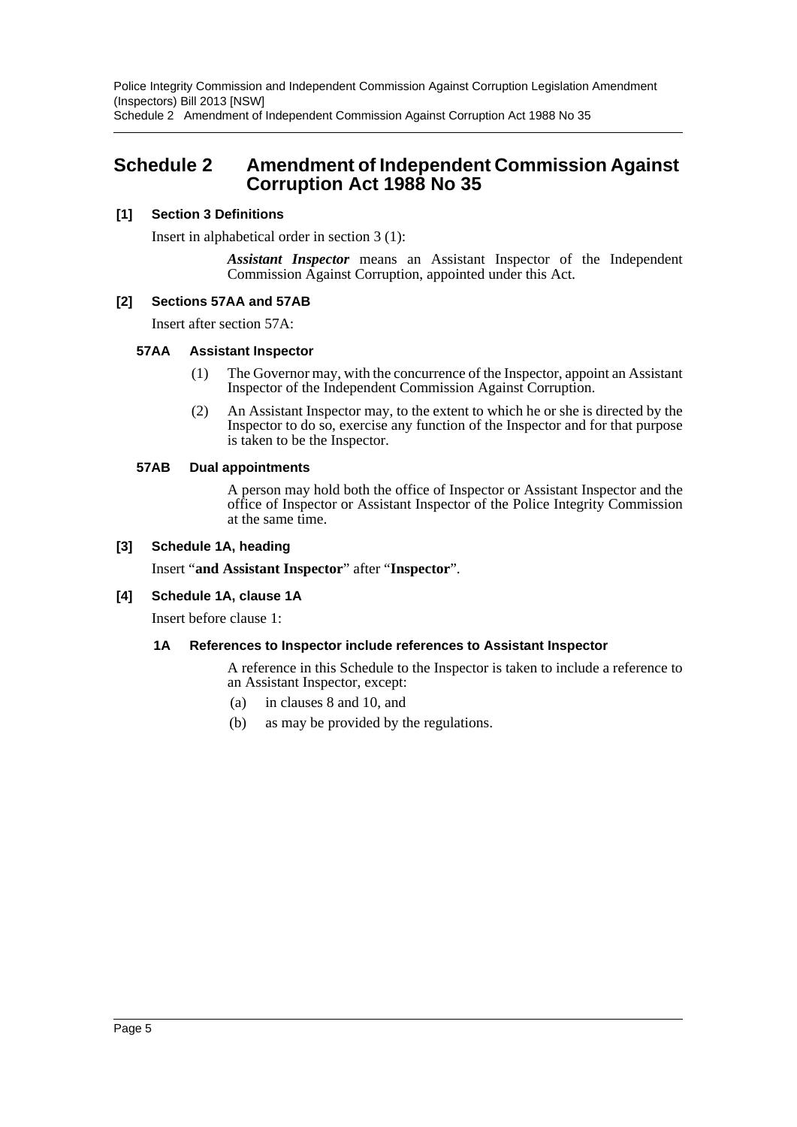Police Integrity Commission and Independent Commission Against Corruption Legislation Amendment (Inspectors) Bill 2013 [NSW] Schedule 2 Amendment of Independent Commission Against Corruption Act 1988 No 35

## <span id="page-5-0"></span>**Schedule 2 Amendment of Independent Commission Against Corruption Act 1988 No 35**

#### **[1] Section 3 Definitions**

Insert in alphabetical order in section 3 (1):

*Assistant Inspector* means an Assistant Inspector of the Independent Commission Against Corruption, appointed under this Act.

#### **[2] Sections 57AA and 57AB**

Insert after section 57A:

#### **57AA Assistant Inspector**

- (1) The Governor may, with the concurrence of the Inspector, appoint an Assistant Inspector of the Independent Commission Against Corruption.
- (2) An Assistant Inspector may, to the extent to which he or she is directed by the Inspector to do so, exercise any function of the Inspector and for that purpose is taken to be the Inspector.

#### **57AB Dual appointments**

A person may hold both the office of Inspector or Assistant Inspector and the office of Inspector or Assistant Inspector of the Police Integrity Commission at the same time.

#### **[3] Schedule 1A, heading**

Insert "**and Assistant Inspector**" after "**Inspector**".

#### **[4] Schedule 1A, clause 1A**

Insert before clause 1:

#### **1A References to Inspector include references to Assistant Inspector**

A reference in this Schedule to the Inspector is taken to include a reference to an Assistant Inspector, except:

- (a) in clauses 8 and 10, and
- (b) as may be provided by the regulations.